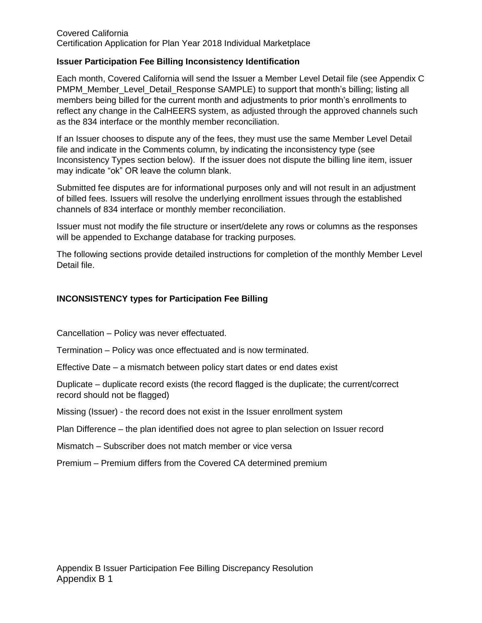#### Covered California Certification Application for Plan Year 2018 Individual Marketplace

#### **Issuer Participation Fee Billing Inconsistency Identification**

Each month, Covered California will send the Issuer a Member Level Detail file (see Appendix C PMPM\_Member\_Level\_Detail\_Response SAMPLE) to support that month's billing; listing all members being billed for the current month and adjustments to prior month's enrollments to reflect any change in the CalHEERS system, as adjusted through the approved channels such as the 834 interface or the monthly member reconciliation.

If an Issuer chooses to dispute any of the fees, they must use the same Member Level Detail file and indicate in the Comments column, by indicating the inconsistency type (see Inconsistency Types section below). If the issuer does not dispute the billing line item, issuer may indicate "ok" OR leave the column blank.

Submitted fee disputes are for informational purposes only and will not result in an adjustment of billed fees. Issuers will resolve the underlying enrollment issues through the established channels of 834 interface or monthly member reconciliation.

Issuer must not modify the file structure or insert/delete any rows or columns as the responses will be appended to Exchange database for tracking purposes.

The following sections provide detailed instructions for completion of the monthly Member Level Detail file.

### **INCONSISTENCY types for Participation Fee Billing**

Cancellation – Policy was never effectuated.

Termination – Policy was once effectuated and is now terminated.

Effective Date – a mismatch between policy start dates or end dates exist

Duplicate – duplicate record exists (the record flagged is the duplicate; the current/correct record should not be flagged)

Missing (Issuer) - the record does not exist in the Issuer enrollment system

Plan Difference – the plan identified does not agree to plan selection on Issuer record

Mismatch – Subscriber does not match member or vice versa

Premium – Premium differs from the Covered CA determined premium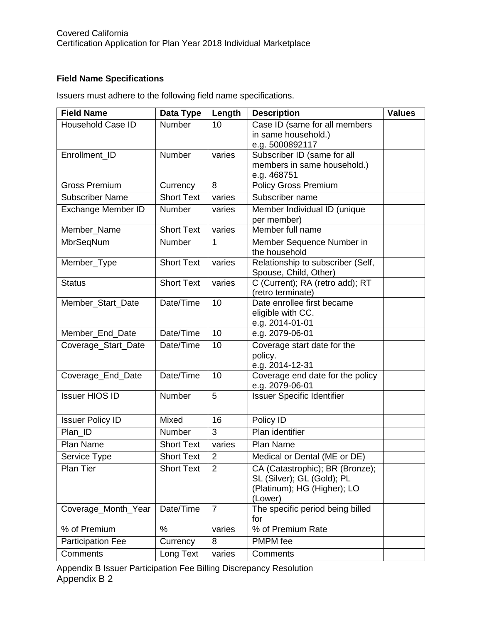# **Field Name Specifications**

Issuers must adhere to the following field name specifications.

| <b>Field Name</b>        | Data Type         | Length         | <b>Description</b>                          | <b>Values</b> |
|--------------------------|-------------------|----------------|---------------------------------------------|---------------|
| <b>Household Case ID</b> | Number            | 10             | Case ID (same for all members               |               |
|                          |                   |                | in same household.)                         |               |
|                          |                   |                | e.g. 5000892117                             |               |
| Enrollment_ID            | Number            | varies         | Subscriber ID (same for all                 |               |
|                          |                   |                | members in same household.)                 |               |
| <b>Gross Premium</b>     | Currency          | 8              | e.g. 468751<br><b>Policy Gross Premium</b>  |               |
| <b>Subscriber Name</b>   | <b>Short Text</b> | varies         | Subscriber name                             |               |
|                          |                   |                |                                             |               |
| Exchange Member ID       | Number            | varies         | Member Individual ID (unique<br>per member) |               |
| Member_Name              | <b>Short Text</b> | varies         | Member full name                            |               |
| MbrSeqNum                | Number            | 1              | Member Sequence Number in                   |               |
|                          |                   |                | the household                               |               |
| Member_Type              | <b>Short Text</b> | varies         | Relationship to subscriber (Self,           |               |
|                          |                   |                | Spouse, Child, Other)                       |               |
| <b>Status</b>            | <b>Short Text</b> | varies         | C (Current); RA (retro add); RT             |               |
|                          |                   |                | (retro terminate)                           |               |
| Member_Start_Date        | Date/Time         | 10             | Date enrollee first became                  |               |
|                          |                   |                | eligible with CC.<br>e.g. 2014-01-01        |               |
| Member_End_Date          | Date/Time         | 10             | e.g. 2079-06-01                             |               |
| Coverage_Start_Date      | Date/Time         | 10             | Coverage start date for the                 |               |
|                          |                   |                | policy.                                     |               |
|                          |                   |                | e.g. 2014-12-31                             |               |
| Coverage_End_Date        | Date/Time         | 10             | Coverage end date for the policy            |               |
|                          |                   |                | e.g. 2079-06-01                             |               |
| <b>Issuer HIOS ID</b>    | Number            | 5              | <b>Issuer Specific Identifier</b>           |               |
|                          |                   |                |                                             |               |
| <b>Issuer Policy ID</b>  | Mixed             | 16             | Policy ID                                   |               |
| Plan ID                  | Number            | 3              | Plan identifier                             |               |
| Plan Name                | <b>Short Text</b> | varies         | Plan Name                                   |               |
| Service Type             | <b>Short Text</b> | $\overline{2}$ | Medical or Dental (ME or DE)                |               |
| Plan Tier                | <b>Short Text</b> | $\overline{2}$ | CA (Catastrophic); BR (Bronze);             |               |
|                          |                   |                | SL (Silver); GL (Gold); PL                  |               |
|                          |                   |                | (Platinum); HG (Higher); LO                 |               |
| Coverage_Month_Year      | Date/Time         | $\overline{7}$ | (Lower)<br>The specific period being billed |               |
|                          |                   |                | for                                         |               |
| % of Premium             | $\%$              | varies         | % of Premium Rate                           |               |
| <b>Participation Fee</b> | Currency          | 8              | PMPM fee                                    |               |
| Comments                 | Long Text         | varies         | Comments                                    |               |

Appendix B Issuer Participation Fee Billing Discrepancy Resolution Appendix B 2